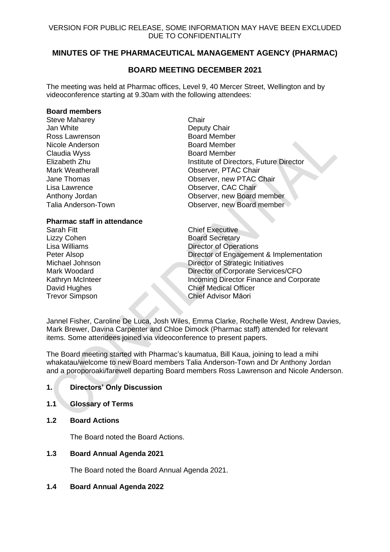# **MINUTES OF THE PHARMACEUTICAL MANAGEMENT AGENCY (PHARMAC)**

## **BOARD MEETING DECEMBER 2021**

The meeting was held at Pharmac offices, Level 9, 40 Mercer Street, Wellington and by videoconference starting at 9.30am with the following attendees:

#### **Board members**

| <b>Steve Maharey</b>   | Chair   |
|------------------------|---------|
| Jan White              | Depu    |
| Ross Lawrenson         | Board   |
| Nicole Anderson        | Board   |
| Claudia Wyss           | Board   |
| Elizabeth Zhu          | Institu |
| <b>Mark Weatherall</b> | Obse    |
| Jane Thomas            | Obse    |
| Lisa Lawrence          | Obse    |
| Anthony Jordan         | Obse    |
| Talia Anderson-Town    | Obse    |
|                        |         |

Deputy Chair **Board Member** Board Member **Board Member** Institute of Directors, Future Director Observer, PTAC Chair Observer, new PTAC Chair Observer, CAC Chair Observer, new Board member Observer, new Board member

## **Pharmac staff in attendance**

Sarah Fitt **Chief Executive** Lizzy Cohen **Board Secretary**<br>
Lisa Williams **Board Secretary** 

Lisa Williams<br>
Peter Alsop<br>
Peter Alsop<br>
Director of Engagement Director of Engagement & Implementation Michael Johnson Director of Strategic Initiatives Mark Woodard **Director of Corporate Services/CFO** Kathryn McInteer **Incoming Director Finance and Corporate** David Hughes Chief Medical Officer Trevor Simpson Chief Advisor Māori

Jannel Fisher, Caroline De Luca, Josh Wiles, Emma Clarke, Rochelle West, Andrew Davies, Mark Brewer, Davina Carpenter and Chloe Dimock (Pharmac staff) attended for relevant items. Some attendees joined via videoconference to present papers.

The Board meeting started with Pharmac's kaumatua, Bill Kaua, joining to lead a mihi whakatau/welcome to new Board members Talia Anderson-Town and Dr Anthony Jordan and a poroporoaki/farewell departing Board members Ross Lawrenson and Nicole Anderson.

## **1. Directors' Only Discussion**

- **1.1 Glossary of Terms**
- **1.2 Board Actions**

The Board noted the Board Actions.

**1.3 Board Annual Agenda 2021**

The Board noted the Board Annual Agenda 2021.

## **1.4 Board Annual Agenda 2022**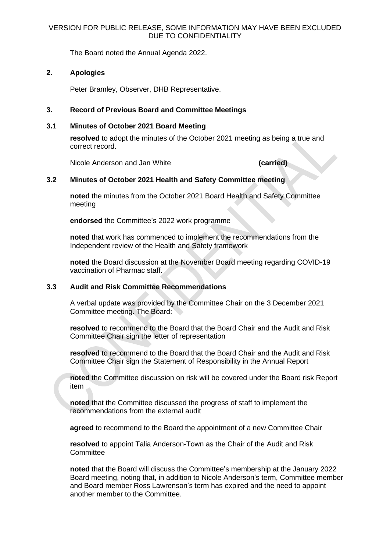The Board noted the Annual Agenda 2022.

## **2. Apologies**

Peter Bramley, Observer, DHB Representative.

## **3. Record of Previous Board and Committee Meetings**

## **3.1 Minutes of October 2021 Board Meeting**

**resolved** to adopt the minutes of the October 2021 meeting as being a true and correct record.

Nicole Anderson and Jan White **(carried)**

## **3.2 Minutes of October 2021 Health and Safety Committee meeting**

**noted** the minutes from the October 2021 Board Health and Safety Committee meeting

**endorsed** the Committee's 2022 work programme

**noted** that work has commenced to implement the recommendations from the Independent review of the Health and Safety framework

**noted** the Board discussion at the November Board meeting regarding COVID-19 vaccination of Pharmac staff.

## **3.3 Audit and Risk Committee Recommendations**

A verbal update was provided by the Committee Chair on the 3 December 2021 Committee meeting. The Board:

**resolved** to recommend to the Board that the Board Chair and the Audit and Risk Committee Chair sign the letter of representation

**resolved** to recommend to the Board that the Board Chair and the Audit and Risk Committee Chair sign the Statement of Responsibility in the Annual Report

**noted** the Committee discussion on risk will be covered under the Board risk Report item

**noted** that the Committee discussed the progress of staff to implement the recommendations from the external audit

**agreed** to recommend to the Board the appointment of a new Committee Chair

**resolved** to appoint Talia Anderson-Town as the Chair of the Audit and Risk **Committee** 

**noted** that the Board will discuss the Committee's membership at the January 2022 Board meeting, noting that, in addition to Nicole Anderson's term, Committee member and Board member Ross Lawrenson's term has expired and the need to appoint another member to the Committee.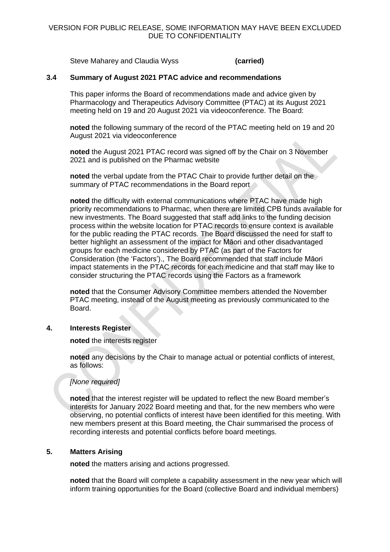Steve Maharey and Claudia Wyss **(carried)**

#### **3.4 Summary of August 2021 PTAC advice and recommendations**

This paper informs the Board of recommendations made and advice given by Pharmacology and Therapeutics Advisory Committee (PTAC) at its August 2021 meeting held on 19 and 20 August 2021 via videoconference. The Board:

**noted** the following summary of the record of the PTAC meeting held on 19 and 20 August 2021 via videoconference

**noted** the August 2021 PTAC record was signed off by the Chair on 3 November 2021 and is published on the Pharmac website

**noted** the verbal update from the PTAC Chair to provide further detail on the summary of PTAC recommendations in the Board report

**noted** the difficulty with external communications where PTAC have made high priority recommendations to Pharmac, when there are limited CPB funds available for new investments. The Board suggested that staff add links to the funding decision process within the website location for PTAC records to ensure context is available for the public reading the PTAC records. The Board discussed the need for staff to better highlight an assessment of the impact for Māori and other disadvantaged groups for each medicine considered by PTAC (as part of the Factors for Consideration (the 'Factors')., The Board recommended that staff include Māori impact statements in the PTAC records for each medicine and that staff may like to consider structuring the PTAC records using the Factors as a framework

**noted** that the Consumer Advisory Committee members attended the November PTAC meeting, instead of the August meeting as previously communicated to the Board.

#### **4. Interests Register**

**noted** the interests register

**noted** any decisions by the Chair to manage actual or potential conflicts of interest, as follows:

## *[None required]*

**noted** that the interest register will be updated to reflect the new Board member's interests for January 2022 Board meeting and that, for the new members who were observing, no potential conflicts of interest have been identified for this meeting. With new members present at this Board meeting, the Chair summarised the process of recording interests and potential conflicts before board meetings.

#### **5. Matters Arising**

**noted** the matters arising and actions progressed.

**noted** that the Board will complete a capability assessment in the new year which will inform training opportunities for the Board (collective Board and individual members)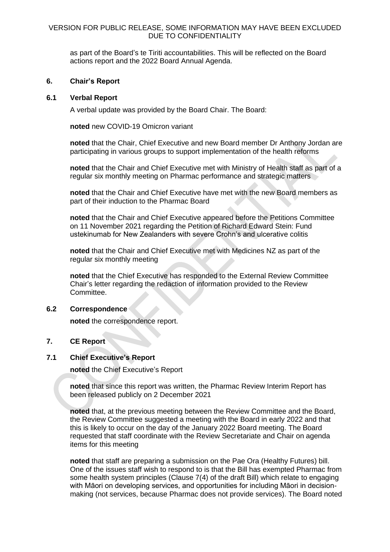as part of the Board's te Tiriti accountabilities. This will be reflected on the Board actions report and the 2022 Board Annual Agenda.

#### **6. Chair's Report**

#### **6.1 Verbal Report**

A verbal update was provided by the Board Chair. The Board:

**noted** new COVID-19 Omicron variant

**noted** that the Chair, Chief Executive and new Board member Dr Anthony Jordan are participating in various groups to support implementation of the health reforms

**noted** that the Chair and Chief Executive met with Ministry of Health staff as part of a regular six monthly meeting on Pharmac performance and strategic matters

**noted** that the Chair and Chief Executive have met with the new Board members as part of their induction to the Pharmac Board

**noted** that the Chair and Chief Executive appeared before the Petitions Committee on 11 November 2021 regarding the Petition of Richard Edward Stein: Fund ustekinumab for New Zealanders with severe Crohn's and ulcerative colitis

**noted** that the Chair and Chief Executive met with Medicines NZ as part of the regular six monthly meeting

**noted** that the Chief Executive has responded to the External Review Committee Chair's letter regarding the redaction of information provided to the Review Committee.

## **6.2 Correspondence**

**noted** the correspondence report.

## **7. CE Report**

## **7.1 Chief Executive's Report**

**noted** the Chief Executive's Report

**noted** that since this report was written, the Pharmac Review Interim Report has been released publicly on 2 December 2021

**noted** that, at the previous meeting between the Review Committee and the Board, the Review Committee suggested a meeting with the Board in early 2022 and that this is likely to occur on the day of the January 2022 Board meeting. The Board requested that staff coordinate with the Review Secretariate and Chair on agenda items for this meeting

**noted** that staff are preparing a submission on the Pae Ora (Healthy Futures) bill. One of the issues staff wish to respond to is that the Bill has exempted Pharmac from some health system principles (Clause 7(4) of the draft Bill) which relate to engaging with Māori on developing services, and opportunities for including Māori in decisionmaking (not services, because Pharmac does not provide services). The Board noted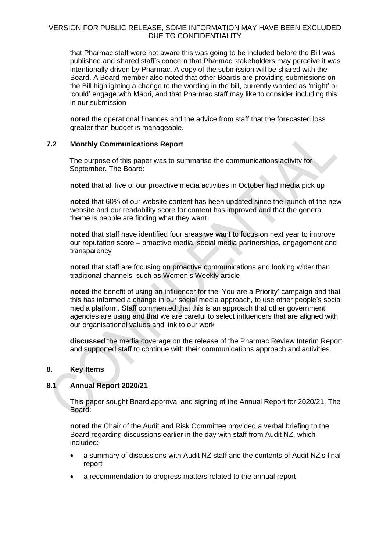that Pharmac staff were not aware this was going to be included before the Bill was published and shared staff's concern that Pharmac stakeholders may perceive it was intentionally driven by Pharmac. A copy of the submission will be shared with the Board. A Board member also noted that other Boards are providing submissions on the Bill highlighting a change to the wording in the bill, currently worded as 'might' or 'could' engage with Māori, and that Pharmac staff may like to consider including this in our submission

**noted** the operational finances and the advice from staff that the forecasted loss greater than budget is manageable.

## **7.2 Monthly Communications Report**

The purpose of this paper was to summarise the communications activity for September. The Board:

**noted** that all five of our proactive media activities in October had media pick up

**noted** that 60% of our website content has been updated since the launch of the new website and our readability score for content has improved and that the general theme is people are finding what they want

**noted** that staff have identified four areas we want to focus on next year to improve our reputation score – proactive media, social media partnerships, engagement and transparency

**noted** that staff are focusing on proactive communications and looking wider than traditional channels, such as Women's Weekly article

**noted** the benefit of using an influencer for the 'You are a Priority' campaign and that this has informed a change in our social media approach, to use other people's social media platform. Staff commented that this is an approach that other government agencies are using and that we are careful to select influencers that are aligned with our organisational values and link to our work

**discussed** the media coverage on the release of the Pharmac Review Interim Report and supported staff to continue with their communications approach and activities.

#### **8. Key Items**

## **8.1 Annual Report 2020/21**

This paper sought Board approval and signing of the Annual Report for 2020/21. The Board:

**noted** the Chair of the Audit and Risk Committee provided a verbal briefing to the Board regarding discussions earlier in the day with staff from Audit NZ, which included:

- a summary of discussions with Audit NZ staff and the contents of Audit NZ's final report
- a recommendation to progress matters related to the annual report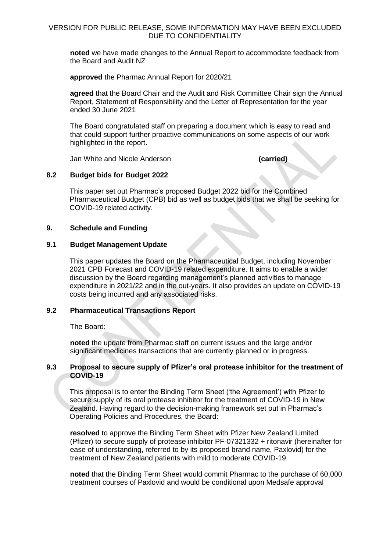**noted** we have made changes to the Annual Report to accommodate feedback from the Board and Audit NZ

**approved** the Pharmac Annual Report for 2020/21

**agreed** that the Board Chair and the Audit and Risk Committee Chair sign the Annual Report, Statement of Responsibility and the Letter of Representation for the year ended 30 June 2021

The Board congratulated staff on preparing a document which is easy to read and that could support further proactive communications on some aspects of our work highlighted in the report.

Jan White and Nicole Anderson **(carried)**

#### **8.2 Budget bids for Budget 2022**

This paper set out Pharmac's proposed Budget 2022 bid for the Combined Pharmaceutical Budget (CPB) bid as well as budget bids that we shall be seeking for COVID-19 related activity.

#### **9. Schedule and Funding**

#### **9.1 Budget Management Update**

This paper updates the Board on the Pharmaceutical Budget, including November 2021 CPB Forecast and COVID-19 related expenditure. It aims to enable a wider discussion by the Board regarding management's planned activities to manage expenditure in 2021/22 and in the out-years. It also provides an update on COVID-19 costs being incurred and any associated risks.

## **9.2 Pharmaceutical Transactions Report**

The Board:

**noted** the update from Pharmac staff on current issues and the large and/or significant medicines transactions that are currently planned or in progress.

#### **9.3 Proposal to secure supply of Pfizer's oral protease inhibitor for the treatment of COVID-19**

This proposal is to enter the Binding Term Sheet ('the Agreement') with Pfizer to secure supply of its oral protease inhibitor for the treatment of COVID-19 in New Zealand. Having regard to the decision-making framework set out in Pharmac's Operating Policies and Procedures, the Board:

**resolved** to approve the Binding Term Sheet with Pfizer New Zealand Limited (Pfizer) to secure supply of protease inhibitor PF-07321332 + ritonavir (hereinafter for ease of understanding, referred to by its proposed brand name, Paxlovid) for the treatment of New Zealand patients with mild to moderate COVID-19

**noted** that the Binding Term Sheet would commit Pharmac to the purchase of 60,000 treatment courses of Paxlovid and would be conditional upon Medsafe approval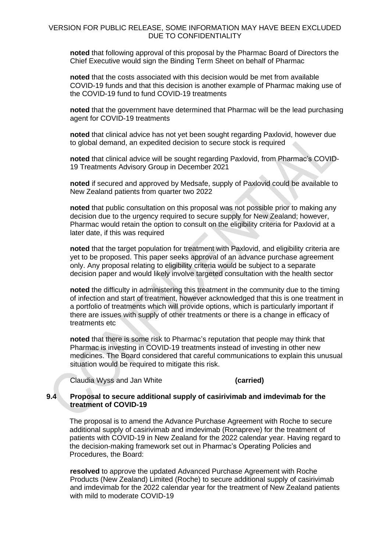**noted** that following approval of this proposal by the Pharmac Board of Directors the Chief Executive would sign the Binding Term Sheet on behalf of Pharmac

**noted** that the costs associated with this decision would be met from available COVID-19 funds and that this decision is another example of Pharmac making use of the COVID-19 fund to fund COVID-19 treatments

**noted** that the government have determined that Pharmac will be the lead purchasing agent for COVID-19 treatments

**noted** that clinical advice has not yet been sought regarding Paxlovid, however due to global demand, an expedited decision to secure stock is required

**noted** that clinical advice will be sought regarding Paxlovid, from Pharmac's COVID-19 Treatments Advisory Group in December 2021

**noted** if secured and approved by Medsafe, supply of Paxlovid could be available to New Zealand patients from quarter two 2022

**noted** that public consultation on this proposal was not possible prior to making any decision due to the urgency required to secure supply for New Zealand; however, Pharmac would retain the option to consult on the eligibility criteria for Paxlovid at a later date, if this was required

**noted** that the target population for treatment with Paxlovid, and eligibility criteria are yet to be proposed. This paper seeks approval of an advance purchase agreement only. Any proposal relating to eligibility criteria would be subject to a separate decision paper and would likely involve targeted consultation with the health sector

**noted** the difficulty in administering this treatment in the community due to the timing of infection and start of treatment, however acknowledged that this is one treatment in a portfolio of treatments which will provide options, which is particularly important if there are issues with supply of other treatments or there is a change in efficacy of treatments etc

**noted** that there is some risk to Pharmac's reputation that people may think that Pharmac is investing in COVID-19 treatments instead of investing in other new medicines. The Board considered that careful communications to explain this unusual situation would be required to mitigate this risk.

Claudia Wyss and Jan White **(carried)**

#### **9.4 Proposal to secure additional supply of casirivimab and imdevimab for the treatment of COVID-19**

The proposal is to amend the Advance Purchase Agreement with Roche to secure additional supply of casirivimab and imdevimab (Ronapreve) for the treatment of patients with COVID-19 in New Zealand for the 2022 calendar year. Having regard to the decision-making framework set out in Pharmac's Operating Policies and Procedures, the Board:

**resolved** to approve the updated Advanced Purchase Agreement with Roche Products (New Zealand) Limited (Roche) to secure additional supply of casirivimab and imdevimab for the 2022 calendar year for the treatment of New Zealand patients with mild to moderate COVID-19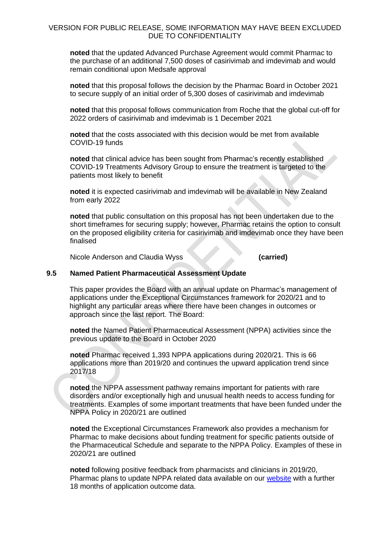**noted** that the updated Advanced Purchase Agreement would commit Pharmac to the purchase of an additional 7,500 doses of casirivimab and imdevimab and would remain conditional upon Medsafe approval

**noted** that this proposal follows the decision by the Pharmac Board in October 2021 to secure supply of an initial order of 5,300 doses of casirivimab and imdevimab

**noted** that this proposal follows communication from Roche that the global cut-off for 2022 orders of casirivimab and imdevimab is 1 December 2021

**noted** that the costs associated with this decision would be met from available COVID-19 funds

**noted** that clinical advice has been sought from Pharmac's recently established COVID-19 Treatments Advisory Group to ensure the treatment is targeted to the patients most likely to benefit

**noted** it is expected casirivimab and imdevimab will be available in New Zealand from early 2022

**noted** that public consultation on this proposal has not been undertaken due to the short timeframes for securing supply; however, Pharmac retains the option to consult on the proposed eligibility criteria for casirivimab and imdevimab once they have been finalised

Nicole Anderson and Claudia Wyss **(carried)**

#### **9.5 Named Patient Pharmaceutical Assessment Update**

This paper provides the Board with an annual update on Pharmac's management of applications under the Exceptional Circumstances framework for 2020/21 and to highlight any particular areas where there have been changes in outcomes or approach since the last report. The Board:

**noted** the Named Patient Pharmaceutical Assessment (NPPA) activities since the previous update to the Board in October 2020

**noted** Pharmac received 1,393 NPPA applications during 2020/21. This is 66 applications more than 2019/20 and continues the upward application trend since 2017/18

**noted** the NPPA assessment pathway remains important for patients with rare disorders and/or exceptionally high and unusual health needs to access funding for treatments. Examples of some important treatments that have been funded under the NPPA Policy in 2020/21 are outlined

**noted** the Exceptional Circumstances Framework also provides a mechanism for Pharmac to make decisions about funding treatment for specific patients outside of the Pharmaceutical Schedule and separate to the NPPA Policy. Examples of these in 2020/21 are outlined

**noted** following positive feedback from pharmacists and clinicians in 2019/20, Pharmac plans to update NPPA related data available on our [website](https://pharmac.govt.nz/medicine-funding-and-supply/make-an-application/nppa-applications/nppa-outcome-data/) with a further 18 months of application outcome data.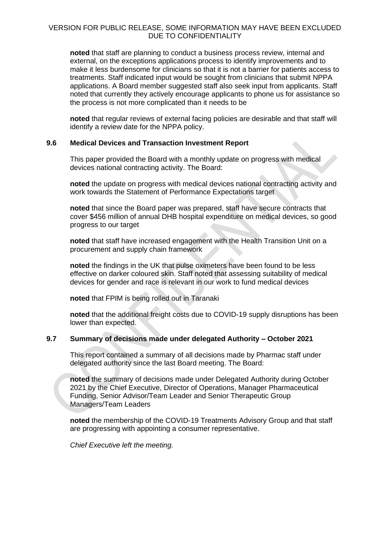**noted** that staff are planning to conduct a business process review, internal and external, on the exceptions applications process to identify improvements and to make it less burdensome for clinicians so that it is not a barrier for patients access to treatments. Staff indicated input would be sought from clinicians that submit NPPA applications. A Board member suggested staff also seek input from applicants. Staff noted that currently they actively encourage applicants to phone us for assistance so the process is not more complicated than it needs to be

**noted** that regular reviews of external facing policies are desirable and that staff will identify a review date for the NPPA policy.

### **9.6 Medical Devices and Transaction Investment Report**

This paper provided the Board with a monthly update on progress with medical devices national contracting activity. The Board:

**noted** the update on progress with medical devices national contracting activity and work towards the Statement of Performance Expectations target

**noted** that since the Board paper was prepared, staff have secure contracts that cover \$456 million of annual DHB hospital expenditure on medical devices, so good progress to our target

**noted** that staff have increased engagement with the Health Transition Unit on a procurement and supply chain framework

**noted** the findings in the UK that pulse oximeters have been found to be less effective on darker coloured skin. Staff noted that assessing suitability of medical devices for gender and race is relevant in our work to fund medical devices

**noted** that FPIM is being rolled out in Taranaki

**noted** that the additional freight costs due to COVID-19 supply disruptions has been lower than expected.

## **9.7 Summary of decisions made under delegated Authority – October 2021**

This report contained a summary of all decisions made by Pharmac staff under delegated authority since the last Board meeting. The Board:

**noted** the summary of decisions made under Delegated Authority during October 2021 by the Chief Executive, Director of Operations, Manager Pharmaceutical Funding, Senior Advisor/Team Leader and Senior Therapeutic Group Managers/Team Leaders

**noted** the membership of the COVID-19 Treatments Advisory Group and that staff are progressing with appointing a consumer representative.

*Chief Executive left the meeting.*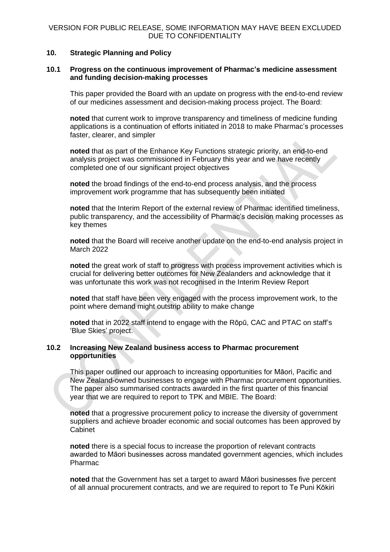#### **10. Strategic Planning and Policy**

#### **10.1 Progress on the continuous improvement of Pharmac's medicine assessment and funding decision-making processes**

This paper provided the Board with an update on progress with the end-to-end review of our medicines assessment and decision-making process project. The Board:

**noted** that current work to improve transparency and timeliness of medicine funding applications is a continuation of efforts initiated in 2018 to make Pharmac's processes faster, clearer, and simpler

**noted** that as part of the Enhance Key Functions strategic priority, an end-to-end analysis project was commissioned in February this year and we have recently completed one of our significant project objectives

**noted** the broad findings of the end-to-end process analysis, and the process improvement work programme that has subsequently been initiated

**noted** that the Interim Report of the external review of Pharmac identified timeliness, public transparency, and the accessibility of Pharmac's decision making processes as key themes

**noted** that the Board will receive another update on the end-to-end analysis project in March 2022

**noted** the great work of staff to progress with process improvement activities which is crucial for delivering better outcomes for New Zealanders and acknowledge that it was unfortunate this work was not recognised in the Interim Review Report

**noted** that staff have been very engaged with the process improvement work, to the point where demand might outstrip ability to make change

**noted** that in 2022 staff intend to engage with the Rōpū, CAC and PTAC on staff's 'Blue Skies' project.

### **10.2 Increasing New Zealand business access to Pharmac procurement opportunities**

This paper outlined our approach to increasing opportunities for Māori, Pacific and New Zealand-owned businesses to engage with Pharmac procurement opportunities. The paper also summarised contracts awarded in the first quarter of this financial year that we are required to report to TPK and MBIE. The Board:

**noted** that a progressive procurement policy to increase the diversity of government suppliers and achieve broader economic and social outcomes has been approved by Cabinet

**noted** there is a special focus to increase the proportion of relevant contracts awarded to Māori businesses across mandated government agencies, which includes Pharmac

**noted** that the Government has set a target to award Māori businesses five percent of all annual procurement contracts, and we are required to report to Te Puni Kōkiri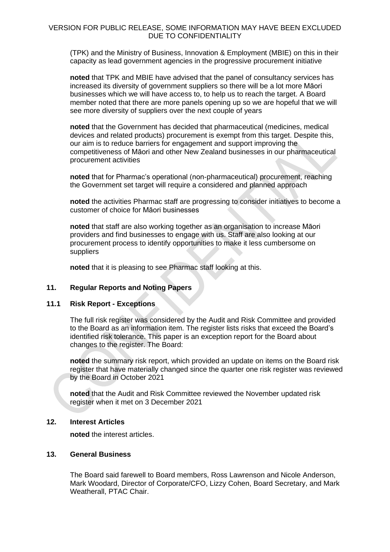(TPK) and the Ministry of Business, Innovation & Employment (MBIE) on this in their capacity as lead government agencies in the progressive procurement initiative

**noted** that TPK and MBIE have advised that the panel of consultancy services has increased its diversity of government suppliers so there will be a lot more Māori businesses which we will have access to, to help us to reach the target. A Board member noted that there are more panels opening up so we are hopeful that we will see more diversity of suppliers over the next couple of years

**noted** that the Government has decided that pharmaceutical (medicines, medical devices and related products) procurement is exempt from this target. Despite this, our aim is to reduce barriers for engagement and support improving the competitiveness of Māori and other New Zealand businesses in our pharmaceutical procurement activities

**noted** that for Pharmac's operational (non-pharmaceutical) procurement, reaching the Government set target will require a considered and planned approach

**noted** the activities Pharmac staff are progressing to consider initiatives to become a customer of choice for Māori businesses

**noted** that staff are also working together as an organisation to increase Māori providers and find businesses to engage with us. Staff are also looking at our procurement process to identify opportunities to make it less cumbersome on suppliers

**noted** that it is pleasing to see Pharmac staff looking at this.

#### **11. Regular Reports and Noting Papers**

#### **11.1 Risk Report - Exceptions**

The full risk register was considered by the Audit and Risk Committee and provided to the Board as an information item. The register lists risks that exceed the Board's identified risk tolerance. This paper is an exception report for the Board about changes to the register. The Board:

**noted** the summary risk report, which provided an update on items on the Board risk register that have materially changed since the quarter one risk register was reviewed by the Board in October 2021

**noted** that the Audit and Risk Committee reviewed the November updated risk register when it met on 3 December 2021

#### **12. Interest Articles**

**noted** the interest articles.

#### **13. General Business**

The Board said farewell to Board members, Ross Lawrenson and Nicole Anderson, Mark Woodard, Director of Corporate/CFO, Lizzy Cohen, Board Secretary, and Mark Weatherall, PTAC Chair.